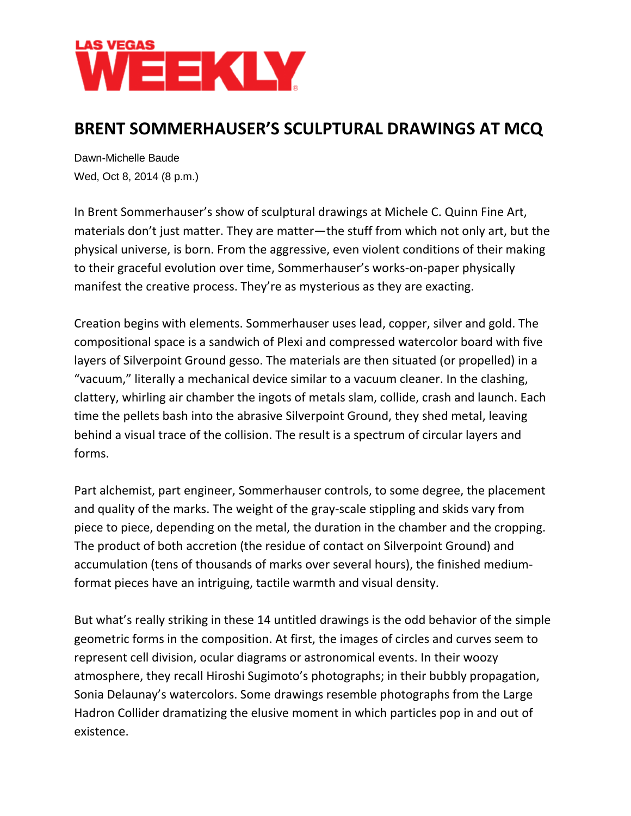

## **BRENT SOMMERHAUSER'S SCULPTURAL DRAWINGS AT MCQ**

Dawn-Michelle Baude Wed, Oct 8, 2014 (8 p.m.)

In Brent Sommerhauser's show of sculptural drawings at Michele C. Quinn Fine Art, materials don't just matter. They are matter—the stuff from which not only art, but the physical universe, is born. From the aggressive, even violent conditions of their making to their graceful evolution over time, Sommerhauser's works-on-paper physically manifest the creative process. They're as mysterious as they are exacting.

Creation begins with elements. Sommerhauser uses lead, copper, silver and gold. The compositional space is a sandwich of Plexi and compressed watercolor board with five layers of Silverpoint Ground gesso. The materials are then situated (or propelled) in a "vacuum," literally a mechanical device similar to a vacuum cleaner. In the clashing, clattery, whirling air chamber the ingots of metals slam, collide, crash and launch. Each time the pellets bash into the abrasive Silverpoint Ground, they shed metal, leaving behind a visual trace of the collision. The result is a spectrum of circular layers and forms.

Part alchemist, part engineer, Sommerhauser controls, to some degree, the placement and quality of the marks. The weight of the gray-scale stippling and skids vary from piece to piece, depending on the metal, the duration in the chamber and the cropping. The product of both accretion (the residue of contact on Silverpoint Ground) and accumulation (tens of thousands of marks over several hours), the finished mediumformat pieces have an intriguing, tactile warmth and visual density.

But what's really striking in these 14 untitled drawings is the odd behavior of the simple geometric forms in the composition. At first, the images of circles and curves seem to represent cell division, ocular diagrams or astronomical events. In their woozy atmosphere, they recall Hiroshi Sugimoto's photographs; in their bubbly propagation, Sonia Delaunay's watercolors. Some drawings resemble photographs from the Large Hadron Collider dramatizing the elusive moment in which particles pop in and out of existence.